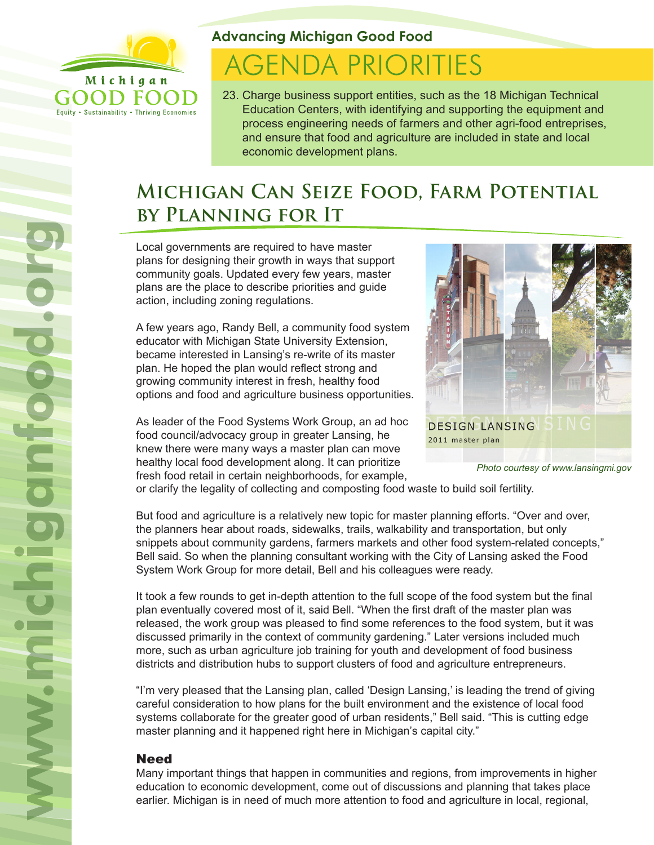

Equity . Sustainability . Thriving Economies

**Advancing Michigan Good Food**

# **AGENDA PRIORITIES**

23. Charge business support entities, such as the 18 Michigan Technical Education Centers, with identifying and supporting the equipment and process engineering needs of farmers and other agri-food entreprises, and ensure that food and agriculture are included in state and local economic development plans.

# **Michigan Can Seize Food, Farm Potential by Planning for It**

Local governments are required to have master plans for designing their growth in ways that support community goals. Updated every few years, master plans are the place to describe priorities and guide action, including zoning regulations.

A few years ago, Randy Bell, a community food system educator with Michigan State University Extension, became interested in Lansing's re-write of its master plan. He hoped the plan would reflect strong and growing community interest in fresh, healthy food options and food and agriculture business opportunities.

As leader of the Food Systems Work Group, an ad hoc food council/advocacy group in greater Lansing, he knew there were many ways a master plan can move healthy local food development along. It can prioritize fresh food retail in certain neighborhoods, for example,



*Photo courtesy of www.lansingmi.gov*

or clarify the legality of collecting and composting food waste to build soil fertility.

But food and agriculture is a relatively new topic for master planning efforts. "Over and over, the planners hear about roads, sidewalks, trails, walkability and transportation, but only snippets about community gardens, farmers markets and other food system-related concepts," Bell said. So when the planning consultant working with the City of Lansing asked the Food System Work Group for more detail, Bell and his colleagues were ready.

It took a few rounds to get in-depth attention to the full scope of the food system but the final plan eventually covered most of it, said Bell. "When the first draft of the master plan was released, the work group was pleased to find some references to the food system, but it was discussed primarily in the context of community gardening." Later versions included much more, such as urban agriculture job training for youth and development of food business districts and distribution hubs to support clusters of food and agriculture entrepreneurs.

"I'm very pleased that the Lansing plan, called 'Design Lansing,' is leading the trend of giving careful consideration to how plans for the built environment and the existence of local food systems collaborate for the greater good of urban residents," Bell said. "This is cutting edge master planning and it happened right here in Michigan's capital city."

## **Need**

Many important things that happen in communities and regions, from improvements in higher education to economic development, come out of discussions and planning that takes place earlier. Michigan is in need of much more attention to food and agriculture in local, regional,